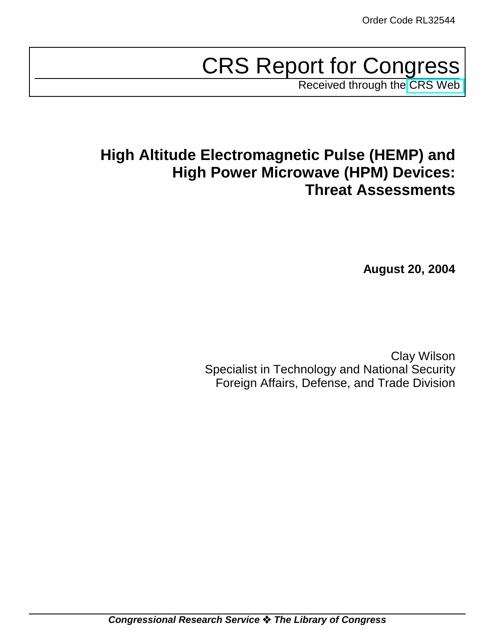# CRS Report for Congress

Received through the [CRS Web](http://www.fas.org/man/crs/index.html)

# **High Altitude Electromagnetic Pulse (HEMP) and High Power Microwave (HPM) Devices: Threat Assessments**

**August 20, 2004**

Clay Wilson Specialist in Technology and National Security Foreign Affairs, Defense, and Trade Division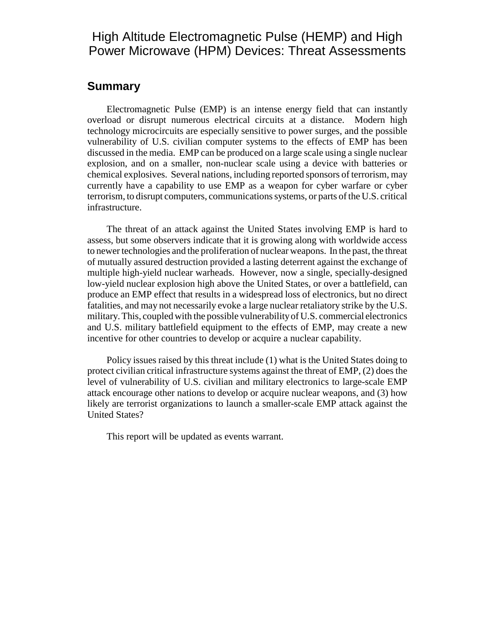# High Altitude Electromagnetic Pulse (HEMP) and High Power Microwave (HPM) Devices: Threat Assessments

#### **Summary**

Electromagnetic Pulse (EMP) is an intense energy field that can instantly overload or disrupt numerous electrical circuits at a distance. Modern high technology microcircuits are especially sensitive to power surges, and the possible vulnerability of U.S. civilian computer systems to the effects of EMP has been discussed in the media. EMP can be produced on a large scale using a single nuclear explosion, and on a smaller, non-nuclear scale using a device with batteries or chemical explosives. Several nations, including reported sponsors of terrorism, may currently have a capability to use EMP as a weapon for cyber warfare or cyber terrorism, to disrupt computers, communications systems, or parts of the U.S. critical infrastructure.

The threat of an attack against the United States involving EMP is hard to assess, but some observers indicate that it is growing along with worldwide access to newer technologies and the proliferation of nuclear weapons. In the past, the threat of mutually assured destruction provided a lasting deterrent against the exchange of multiple high-yield nuclear warheads. However, now a single, specially-designed low-yield nuclear explosion high above the United States, or over a battlefield, can produce an EMP effect that results in a widespread loss of electronics, but no direct fatalities, and may not necessarily evoke a large nuclear retaliatory strike by the U.S. military. This, coupled with the possible vulnerability of U.S. commercial electronics and U.S. military battlefield equipment to the effects of EMP, may create a new incentive for other countries to develop or acquire a nuclear capability.

Policy issues raised by this threat include (1) what is the United States doing to protect civilian critical infrastructure systems against the threat of EMP, (2) does the level of vulnerability of U.S. civilian and military electronics to large-scale EMP attack encourage other nations to develop or acquire nuclear weapons, and (3) how likely are terrorist organizations to launch a smaller-scale EMP attack against the United States?

This report will be updated as events warrant.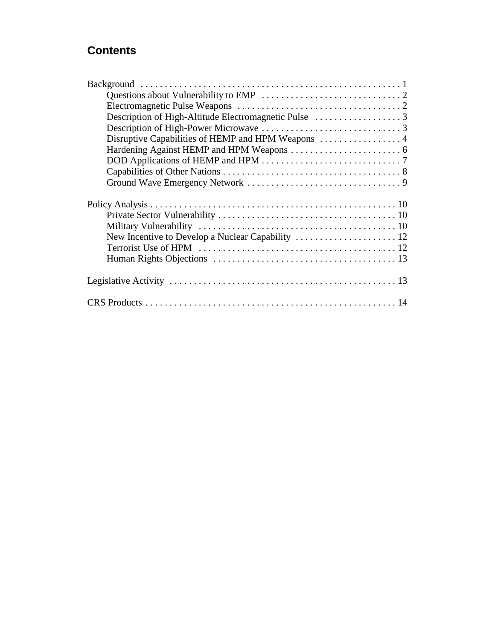# **Contents**

| Disruptive Capabilities of HEMP and HPM Weapons  4 |
|----------------------------------------------------|
|                                                    |
|                                                    |
|                                                    |
|                                                    |
|                                                    |
|                                                    |
|                                                    |
|                                                    |
|                                                    |
|                                                    |
|                                                    |
|                                                    |
|                                                    |
|                                                    |
|                                                    |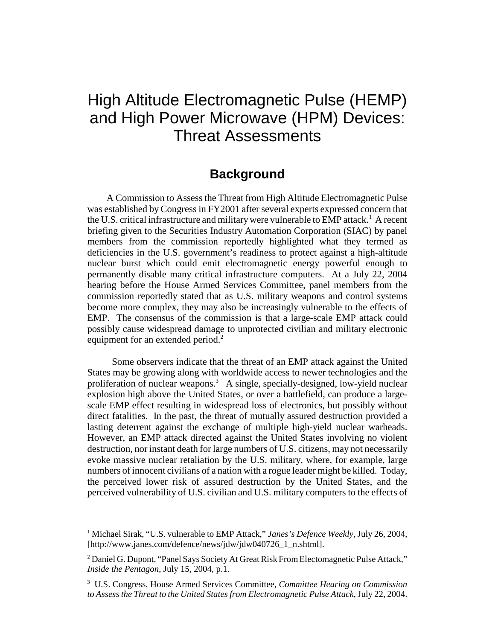# High Altitude Electromagnetic Pulse (HEMP) and High Power Microwave (HPM) Devices: Threat Assessments

# **Background**

A Commission to Assess the Threat from High Altitude Electromagnetic Pulse was established by Congress in FY2001 after several experts expressed concern that the U.S. critical infrastructure and military were vulnerable to EMP attack.<sup>1</sup> A recent briefing given to the Securities Industry Automation Corporation (SIAC) by panel members from the commission reportedly highlighted what they termed as deficiencies in the U.S. government's readiness to protect against a high-altitude nuclear burst which could emit electromagnetic energy powerful enough to permanently disable many critical infrastructure computers. At a July 22, 2004 hearing before the House Armed Services Committee, panel members from the commission reportedly stated that as U.S. military weapons and control systems become more complex, they may also be increasingly vulnerable to the effects of EMP. The consensus of the commission is that a large-scale EMP attack could possibly cause widespread damage to unprotected civilian and military electronic equipment for an extended period.<sup>2</sup>

 Some observers indicate that the threat of an EMP attack against the United States may be growing along with worldwide access to newer technologies and the proliferation of nuclear weapons.<sup>3</sup> A single, specially-designed, low-yield nuclear explosion high above the United States, or over a battlefield, can produce a largescale EMP effect resulting in widespread loss of electronics, but possibly without direct fatalities. In the past, the threat of mutually assured destruction provided a lasting deterrent against the exchange of multiple high-yield nuclear warheads. However, an EMP attack directed against the United States involving no violent destruction, nor instant death for large numbers of U.S. citizens, may not necessarily evoke massive nuclear retaliation by the U.S. military, where, for example, large numbers of innocent civilians of a nation with a rogue leader might be killed. Today, the perceived lower risk of assured destruction by the United States, and the perceived vulnerability of U.S. civilian and U.S. military computers to the effects of

<sup>&</sup>lt;sup>1</sup> Michael Sirak, "U.S. vulnerable to EMP Attack," Janes's Defence Weekly, July 26, 2004, [http://www.janes.com/defence/news/jdw/jdw040726\_1\_n.shtml].

<sup>&</sup>lt;sup>2</sup> Daniel G. Dupont, "Panel Says Society At Great Risk From Electomagnetic Pulse Attack," *Inside the Pentagon*, July 15, 2004, p.1.

<sup>3</sup> U.S. Congress, House Armed Services Committee, *Committee Hearing on Commission to Assess the Threat to the United States from Electromagnetic Pulse Attack*, July 22, 2004.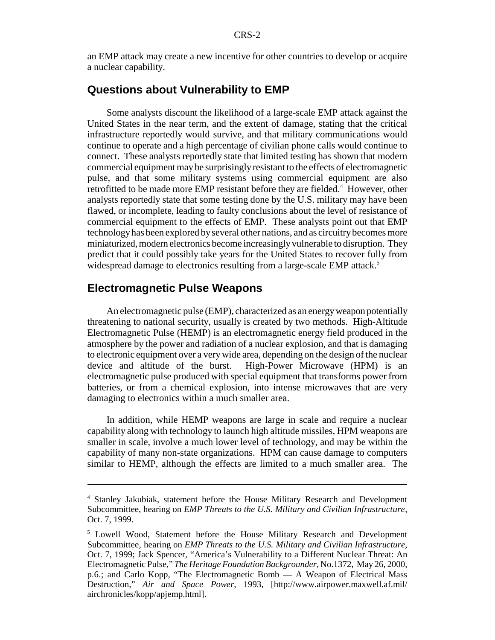an EMP attack may create a new incentive for other countries to develop or acquire a nuclear capability.

#### **Questions about Vulnerability to EMP**

Some analysts discount the likelihood of a large-scale EMP attack against the United States in the near term, and the extent of damage, stating that the critical infrastructure reportedly would survive, and that military communications would continue to operate and a high percentage of civilian phone calls would continue to connect. These analysts reportedly state that limited testing has shown that modern commercial equipment may be surprisingly resistant to the effects of electromagnetic pulse, and that some military systems using commercial equipment are also retrofitted to be made more EMP resistant before they are fielded.<sup>4</sup> However, other analysts reportedly state that some testing done by the U.S. military may have been flawed, or incomplete, leading to faulty conclusions about the level of resistance of commercial equipment to the effects of EMP. These analysts point out that EMP technology has been explored by several other nations, and as circuitry becomes more miniaturized, modern electronics become increasingly vulnerable to disruption. They predict that it could possibly take years for the United States to recover fully from widespread damage to electronics resulting from a large-scale EMP attack.<sup>5</sup>

#### **Electromagnetic Pulse Weapons**

An electromagnetic pulse (EMP), characterized as an energy weapon potentially threatening to national security, usually is created by two methods. High-Altitude Electromagnetic Pulse (HEMP) is an electromagnetic energy field produced in the atmosphere by the power and radiation of a nuclear explosion, and that is damaging to electronic equipment over a very wide area, depending on the design of the nuclear device and altitude of the burst. High-Power Microwave (HPM) is an electromagnetic pulse produced with special equipment that transforms power from batteries, or from a chemical explosion, into intense microwaves that are very damaging to electronics within a much smaller area.

In addition, while HEMP weapons are large in scale and require a nuclear capability along with technology to launch high altitude missiles, HPM weapons are smaller in scale, involve a much lower level of technology, and may be within the capability of many non-state organizations. HPM can cause damage to computers similar to HEMP, although the effects are limited to a much smaller area. The

<sup>4</sup> Stanley Jakubiak, statement before the House Military Research and Development Subcommittee, hearing on *EMP Threats to the U.S. Military and Civilian Infrastructure*, Oct. 7, 1999.

<sup>&</sup>lt;sup>5</sup> Lowell Wood, Statement before the House Military Research and Development Subcommittee, hearing on *EMP Threats to the U.S. Military and Civilian Infrastructure*, Oct. 7, 1999; Jack Spencer, "America's Vulnerability to a Different Nuclear Threat: An Electromagnetic Pulse," *The Heritage Foundation Backgrounder*, No.1372, May 26, 2000, p.6.; and Carlo Kopp, "The Electromagnetic Bomb — A Weapon of Electrical Mass Destruction," *Air and Space Power*, 1993, [http://www.airpower.maxwell.af.mil/ airchronicles/kopp/apjemp.html].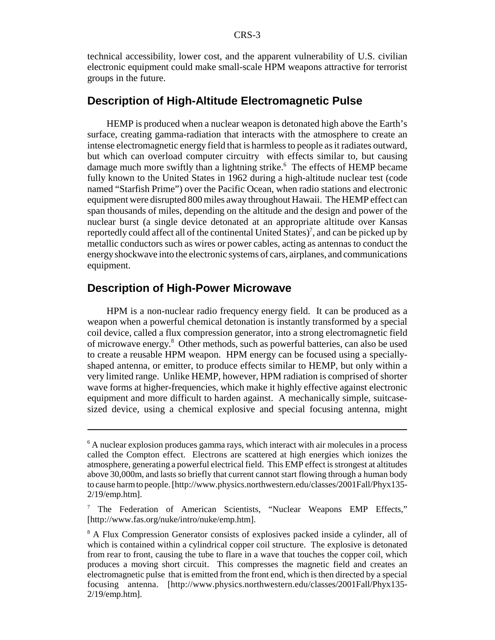technical accessibility, lower cost, and the apparent vulnerability of U.S. civilian electronic equipment could make small-scale HPM weapons attractive for terrorist groups in the future.

#### **Description of High-Altitude Electromagnetic Pulse**

HEMP is produced when a nuclear weapon is detonated high above the Earth's surface, creating gamma-radiation that interacts with the atmosphere to create an intense electromagnetic energy field that is harmless to people as it radiates outward, but which can overload computer circuitry with effects similar to, but causing damage much more swiftly than a lightning strike.<sup>6</sup> The effects of HEMP became fully known to the United States in 1962 during a high-altitude nuclear test (code named "Starfish Prime") over the Pacific Ocean, when radio stations and electronic equipment were disrupted 800 miles away throughout Hawaii. The HEMP effect can span thousands of miles, depending on the altitude and the design and power of the nuclear burst (a single device detonated at an appropriate altitude over Kansas reportedly could affect all of the continental United States)<sup>7</sup>, and can be picked up by metallic conductors such as wires or power cables, acting as antennas to conduct the energy shockwave into the electronic systems of cars, airplanes, and communications equipment.

#### **Description of High-Power Microwave**

HPM is a non-nuclear radio frequency energy field. It can be produced as a weapon when a powerful chemical detonation is instantly transformed by a special coil device, called a flux compression generator, into a strong electromagnetic field of microwave energy.<sup>8</sup> Other methods, such as powerful batteries, can also be used to create a reusable HPM weapon. HPM energy can be focused using a speciallyshaped antenna, or emitter, to produce effects similar to HEMP, but only within a very limited range. Unlike HEMP, however, HPM radiation is comprised of shorter wave forms at higher-frequencies, which make it highly effective against electronic equipment and more difficult to harden against. A mechanically simple, suitcasesized device, using a chemical explosive and special focusing antenna, might

<sup>&</sup>lt;sup>6</sup> A nuclear explosion produces gamma rays, which interact with air molecules in a process called the Compton effect. Electrons are scattered at high energies which ionizes the atmosphere, generating a powerful electrical field. This EMP effect is strongest at altitudes above 30,000m, and lasts so briefly that current cannot start flowing through a human body to cause harm to people. [http://www.physics.northwestern.edu/classes/2001Fall/Phyx135- 2/19/emp.htm].

<sup>&</sup>lt;sup>7</sup> The Federation of American Scientists, "Nuclear Weapons EMP Effects," [http://www.fas.org/nuke/intro/nuke/emp.htm].

<sup>&</sup>lt;sup>8</sup> A Flux Compression Generator consists of explosives packed inside a cylinder, all of which is contained within a cylindrical copper coil structure. The explosive is detonated from rear to front, causing the tube to flare in a wave that touches the copper coil, which produces a moving short circuit. This compresses the magnetic field and creates an electromagnetic pulse that is emitted from the front end, which is then directed by a special focusing antenna. [http://www.physics.northwestern.edu/classes/2001Fall/Phyx135- 2/19/emp.htm].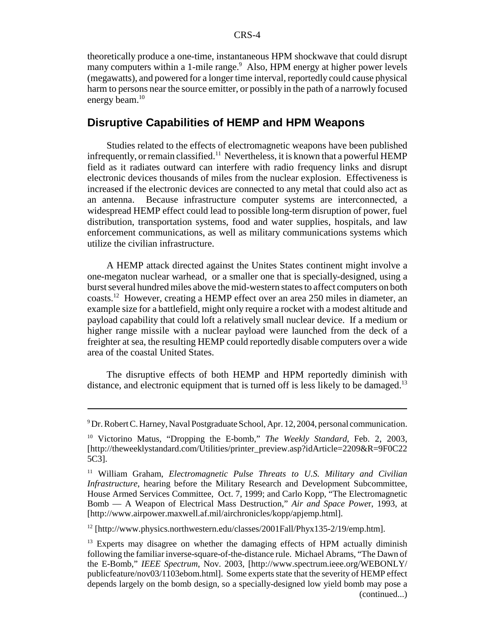theoretically produce a one-time, instantaneous HPM shockwave that could disrupt many computers within a 1-mile range.<sup>9</sup> Also, HPM energy at higher power levels (megawatts), and powered for a longer time interval, reportedly could cause physical harm to persons near the source emitter, or possibly in the path of a narrowly focused energy beam.<sup>10</sup>

#### **Disruptive Capabilities of HEMP and HPM Weapons**

Studies related to the effects of electromagnetic weapons have been published infrequently, or remain classified.<sup>11</sup> Nevertheless, it is known that a powerful HEMP field as it radiates outward can interfere with radio frequency links and disrupt electronic devices thousands of miles from the nuclear explosion. Effectiveness is increased if the electronic devices are connected to any metal that could also act as an antenna. Because infrastructure computer systems are interconnected, a widespread HEMP effect could lead to possible long-term disruption of power, fuel distribution, transportation systems, food and water supplies, hospitals, and law enforcement communications, as well as military communications systems which utilize the civilian infrastructure.

A HEMP attack directed against the Unites States continent might involve a one-megaton nuclear warhead, or a smaller one that is specially-designed, using a burst several hundred miles above the mid-western states to affect computers on both coasts.12 However, creating a HEMP effect over an area 250 miles in diameter, an example size for a battlefield, might only require a rocket with a modest altitude and payload capability that could loft a relatively small nuclear device. If a medium or higher range missile with a nuclear payload were launched from the deck of a freighter at sea, the resulting HEMP could reportedly disable computers over a wide area of the coastal United States.

The disruptive effects of both HEMP and HPM reportedly diminish with distance, and electronic equipment that is turned off is less likely to be damaged.<sup>13</sup>

 $12$  [http://www.physics.northwestern.edu/classes/2001Fall/Phyx135-2/19/emp.htm].

<sup>&</sup>lt;sup>9</sup> Dr. Robert C. Harney, Naval Postgraduate School, Apr. 12, 2004, personal communication.

<sup>10</sup> Victorino Matus, "Dropping the E-bomb," *The Weekly Standard*, Feb. 2, 2003, [http://theweeklystandard.com/Utilities/printer\_preview.asp?idArticle=2209&R=9F0C22 5C3].

<sup>11</sup> William Graham, *Electromagnetic Pulse Threats to U.S. Military and Civilian Infrastructure*, hearing before the Military Research and Development Subcommittee, House Armed Services Committee, Oct. 7, 1999; and Carlo Kopp, "The Electromagnetic Bomb — A Weapon of Electrical Mass Destruction," *Air and Space Powe*r, 1993, at [http://www.airpower.maxwell.af.mil/airchronicles/kopp/apjemp.html].

 $13$  Experts may disagree on whether the damaging effects of HPM actually diminish following the familiar inverse-square-of-the-distance rule. Michael Abrams, "The Dawn of the E-Bomb," *IEEE Spectrum*, Nov. 2003, [http://www.spectrum.ieee.org/WEBONLY/ publicfeature/nov03/1103ebom.html]. Some experts state that the severity of HEMP effect depends largely on the bomb design, so a specially-designed low yield bomb may pose a (continued...)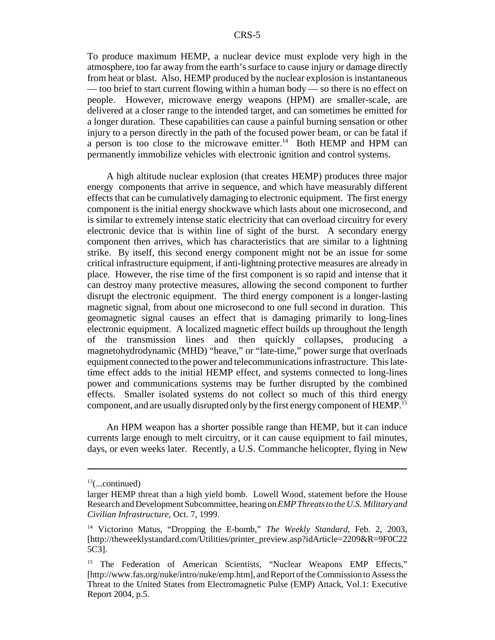To produce maximum HEMP, a nuclear device must explode very high in the atmosphere, too far away from the earth's surface to cause injury or damage directly from heat or blast. Also, HEMP produced by the nuclear explosion is instantaneous — too brief to start current flowing within a human body — so there is no effect on people. However, microwave energy weapons (HPM) are smaller-scale, are delivered at a closer range to the intended target, and can sometimes be emitted for a longer duration. These capabilities can cause a painful burning sensation or other injury to a person directly in the path of the focused power beam, or can be fatal if a person is too close to the microwave emitter.<sup>14</sup> Both HEMP and HPM can permanently immobilize vehicles with electronic ignition and control systems.

A high altitude nuclear explosion (that creates HEMP) produces three major energy components that arrive in sequence, and which have measurably different effects that can be cumulatively damaging to electronic equipment. The first energy component is the initial energy shockwave which lasts about one microsecond, and is similar to extremely intense static electricity that can overload circuitry for every electronic device that is within line of sight of the burst. A secondary energy component then arrives, which has characteristics that are similar to a lightning strike. By itself, this second energy component might not be an issue for some critical infrastructure equipment, if anti-lightning protective measures are already in place. However, the rise time of the first component is so rapid and intense that it can destroy many protective measures, allowing the second component to further disrupt the electronic equipment. The third energy component is a longer-lasting magnetic signal, from about one microsecond to one full second in duration. This geomagnetic signal causes an effect that is damaging primarily to long-lines electronic equipment. A localized magnetic effect builds up throughout the length of the transmission lines and then quickly collapses, producing a magnetohydrodynamic (MHD) "heave," or "late-time," power surge that overloads equipment connected to the power and telecommunications infrastructure. This latetime effect adds to the initial HEMP effect, and systems connected to long-lines power and communications systems may be further disrupted by the combined effects. Smaller isolated systems do not collect so much of this third energy component, and are usually disrupted only by the first energy component of HEMP.<sup>15</sup>

An HPM weapon has a shorter possible range than HEMP, but it can induce currents large enough to melt circuitry, or it can cause equipment to fail minutes, days, or even weeks later. Recently, a U.S. Commanche helicopter, flying in New

 $13$ (...continued)

larger HEMP threat than a high yield bomb. Lowell Wood, statement before the House Research and Development Subcommittee, hearing on *EMP Threats to the U.S. Military and Civilian Infrastructure*, Oct. 7, 1999.

<sup>&</sup>lt;sup>14</sup> Victorino Matus, "Dropping the E-bomb," *The Weekly Standard*, Feb. 2, 2003, [http://theweeklystandard.com/Utilities/printer\_preview.asp?idArticle=2209&R=9F0C22 5C3].

<sup>15</sup> The Federation of American Scientists, "Nuclear Weapons EMP Effects," [http://www.fas.org/nuke/intro/nuke/emp.htm], and Report of the Commission to Assess the Threat to the United States from Electromagnetic Pulse (EMP) Attack, Vol.1: Executive Report 2004, p.5.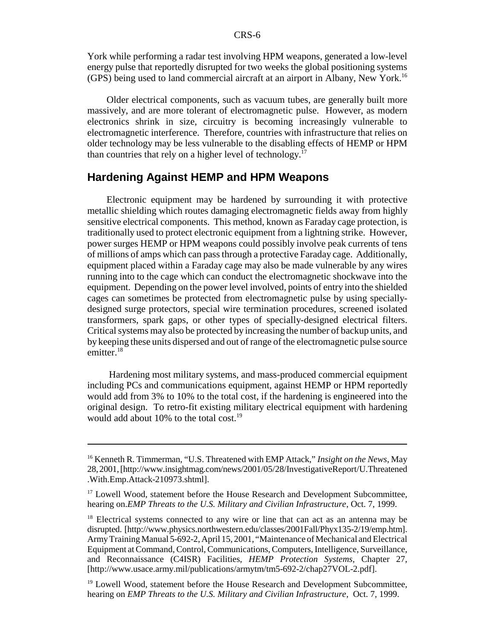York while performing a radar test involving HPM weapons, generated a low-level energy pulse that reportedly disrupted for two weeks the global positioning systems (GPS) being used to land commercial aircraft at an airport in Albany, New York.16

Older electrical components, such as vacuum tubes, are generally built more massively, and are more tolerant of electromagnetic pulse. However, as modern electronics shrink in size, circuitry is becoming increasingly vulnerable to electromagnetic interference. Therefore, countries with infrastructure that relies on older technology may be less vulnerable to the disabling effects of HEMP or HPM than countries that rely on a higher level of technology.<sup>17</sup>

#### **Hardening Against HEMP and HPM Weapons**

Electronic equipment may be hardened by surrounding it with protective metallic shielding which routes damaging electromagnetic fields away from highly sensitive electrical components. This method, known as Faraday cage protection, is traditionally used to protect electronic equipment from a lightning strike. However, power surges HEMP or HPM weapons could possibly involve peak currents of tens of millions of amps which can pass through a protective Faraday cage. Additionally, equipment placed within a Faraday cage may also be made vulnerable by any wires running into to the cage which can conduct the electromagnetic shockwave into the equipment. Depending on the power level involved, points of entry into the shielded cages can sometimes be protected from electromagnetic pulse by using speciallydesigned surge protectors, special wire termination procedures, screened isolated transformers, spark gaps, or other types of specially-designed electrical filters. Critical systems may also be protected by increasing the number of backup units, and by keeping these units dispersed and out of range of the electromagnetic pulse source emitter. $18$ 

 Hardening most military systems, and mass-produced commercial equipment including PCs and communications equipment, against HEMP or HPM reportedly would add from 3% to 10% to the total cost, if the hardening is engineered into the original design. To retro-fit existing military electrical equipment with hardening would add about  $10\%$  to the total cost.<sup>19</sup>

<sup>16</sup> Kenneth R. Timmerman, "U.S. Threatened with EMP Attack," *Insight on the News*, May 28, 2001, [http://www.insightmag.com/news/2001/05/28/InvestigativeReport/U.Threatened .With.Emp.Attack-210973.shtml].

 $17$  Lowell Wood, statement before the House Research and Development Subcommittee, hearing on.*EMP Threats to the U.S. Military and Civilian Infrastructure*, Oct. 7, 1999.

<sup>&</sup>lt;sup>18</sup> Electrical systems connected to any wire or line that can act as an antenna may be disrupted. [http://www.physics.northwestern.edu/classes/2001Fall/Phyx135-2/19/emp.htm]. Army Training Manual 5-692-2, April 15, 2001, "Maintenance of Mechanical and Electrical Equipment at Command, Control, Communications, Computers, Intelligence, Surveillance, and Reconnaissance (C4ISR) Facilities, *HEMP Protection Systems*, Chapter 27, [http://www.usace.army.mil/publications/armytm/tm5-692-2/chap27VOL-2.pdf].

<sup>&</sup>lt;sup>19</sup> Lowell Wood, statement before the House Research and Development Subcommittee, hearing on *EMP Threats to the U.S. Military and Civilian Infrastructure*, Oct. 7, 1999.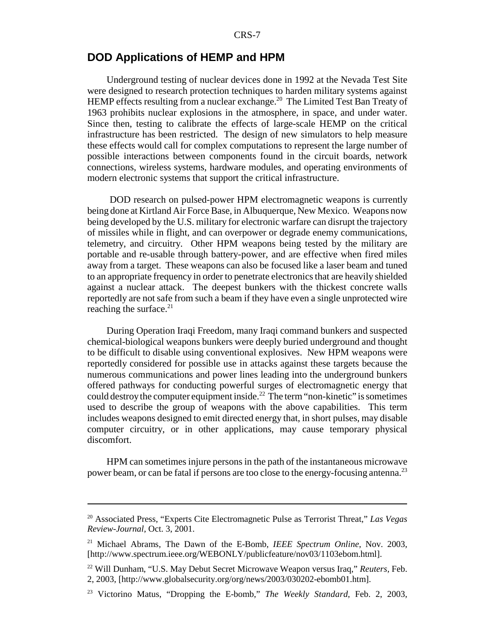#### **DOD Applications of HEMP and HPM**

Underground testing of nuclear devices done in 1992 at the Nevada Test Site were designed to research protection techniques to harden military systems against HEMP effects resulting from a nuclear exchange.<sup>20</sup> The Limited Test Ban Treaty of 1963 prohibits nuclear explosions in the atmosphere, in space, and under water. Since then, testing to calibrate the effects of large-scale HEMP on the critical infrastructure has been restricted. The design of new simulators to help measure these effects would call for complex computations to represent the large number of possible interactions between components found in the circuit boards, network connections, wireless systems, hardware modules, and operating environments of modern electronic systems that support the critical infrastructure.

 DOD research on pulsed-power HPM electromagnetic weapons is currently being done at Kirtland Air Force Base, in Albuquerque, New Mexico. Weapons now being developed by the U.S. military for electronic warfare can disrupt the trajectory of missiles while in flight, and can overpower or degrade enemy communications, telemetry, and circuitry. Other HPM weapons being tested by the military are portable and re-usable through battery-power, and are effective when fired miles away from a target. These weapons can also be focused like a laser beam and tuned to an appropriate frequency in order to penetrate electronics that are heavily shielded against a nuclear attack. The deepest bunkers with the thickest concrete walls reportedly are not safe from such a beam if they have even a single unprotected wire reaching the surface. $21$ 

During Operation Iraqi Freedom, many Iraqi command bunkers and suspected chemical-biological weapons bunkers were deeply buried underground and thought to be difficult to disable using conventional explosives. New HPM weapons were reportedly considered for possible use in attacks against these targets because the numerous communications and power lines leading into the underground bunkers offered pathways for conducting powerful surges of electromagnetic energy that could destroy the computer equipment inside.<sup>22</sup> The term "non-kinetic" is sometimes used to describe the group of weapons with the above capabilities. This term includes weapons designed to emit directed energy that, in short pulses, may disable computer circuitry, or in other applications, may cause temporary physical discomfort.

HPM can sometimes injure persons in the path of the instantaneous microwave power beam, or can be fatal if persons are too close to the energy-focusing antenna.23

<sup>20</sup> Associated Press, "Experts Cite Electromagnetic Pulse as Terrorist Threat," *Las Vegas Review-Journal*, Oct. 3, 2001.

<sup>21</sup> Michael Abrams, The Dawn of the E-Bomb, *IEEE Spectrum Online*, Nov. 2003, [http://www.spectrum.ieee.org/WEBONLY/publicfeature/nov03/1103ebom.html].

<sup>22</sup> Will Dunham, "U.S. May Debut Secret Microwave Weapon versus Iraq," *Reuters,* Feb. 2, 2003, [http://www.globalsecurity.org/org/news/2003/030202-ebomb01.htm].

<sup>23</sup> Victorino Matus, "Dropping the E-bomb," *The Weekly Standard*, Feb. 2, 2003,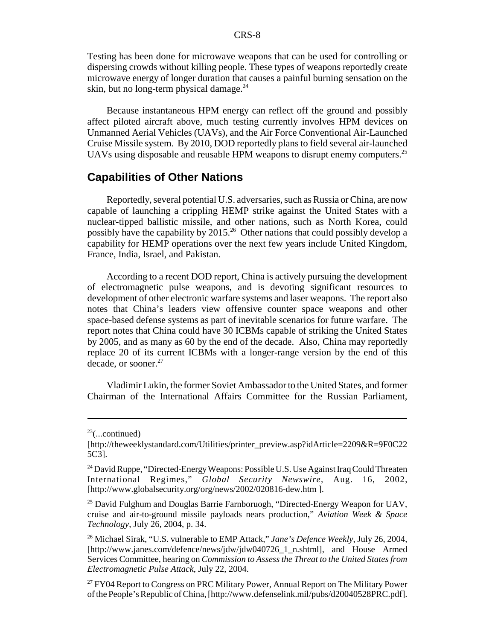Testing has been done for microwave weapons that can be used for controlling or dispersing crowds without killing people. These types of weapons reportedly create microwave energy of longer duration that causes a painful burning sensation on the skin, but no long-term physical damage. $24$ 

Because instantaneous HPM energy can reflect off the ground and possibly affect piloted aircraft above, much testing currently involves HPM devices on Unmanned Aerial Vehicles (UAVs), and the Air Force Conventional Air-Launched Cruise Missile system. By 2010, DOD reportedly plans to field several air-launched UAVs using disposable and reusable HPM weapons to disrupt enemy computers.<sup>25</sup>

#### **Capabilities of Other Nations**

Reportedly, several potential U.S. adversaries, such as Russia or China, are now capable of launching a crippling HEMP strike against the United States with a nuclear-tipped ballistic missile, and other nations, such as North Korea, could possibly have the capability by 2015.26 Other nations that could possibly develop a capability for HEMP operations over the next few years include United Kingdom, France, India, Israel, and Pakistan.

According to a recent DOD report, China is actively pursuing the development of electromagnetic pulse weapons, and is devoting significant resources to development of other electronic warfare systems and laser weapons. The report also notes that China's leaders view offensive counter space weapons and other space-based defense systems as part of inevitable scenarios for future warfare. The report notes that China could have 30 ICBMs capable of striking the United States by 2005, and as many as 60 by the end of the decade. Also, China may reportedly replace 20 of its current ICBMs with a longer-range version by the end of this decade, or sooner.27

Vladimir Lukin, the former Soviet Ambassador to the United States, and former Chairman of the International Affairs Committee for the Russian Parliament,

 $23$ (...continued)

<sup>[</sup>http://theweeklystandard.com/Utilities/printer\_preview.asp?idArticle=2209&R=9F0C22 5C3].

<sup>&</sup>lt;sup>24</sup> David Ruppe, "Directed-Energy Weapons: Possible U.S. Use Against Iraq Could Threaten International Regimes," *Global Security Newswire,* Aug. 16, 2002, [http://www.globalsecurity.org/org/news/2002/020816-dew.htm ].

<sup>&</sup>lt;sup>25</sup> David Fulghum and Douglas Barrie Farnboruogh, "Directed-Energy Weapon for UAV, cruise and air-to-ground missile payloads nears production," *Aviation Week & Space Technology*, July 26, 2004, p. 34.

<sup>26</sup> Michael Sirak, "U.S. vulnerable to EMP Attack," *Jane's Defence Weekly*, July 26, 2004, [http://www.janes.com/defence/news/jdw/jdw040726\_1\_n.shtml], and House Armed Services Committee, hearing on *Commission to Assess the Threat to the United States from Electromagnetic Pulse Attack*, July 22, 2004.

<sup>&</sup>lt;sup>27</sup> FY04 Report to Congress on PRC Military Power, Annual Report on The Military Power of the People's Republic of China, [http://www.defenselink.mil/pubs/d20040528PRC.pdf].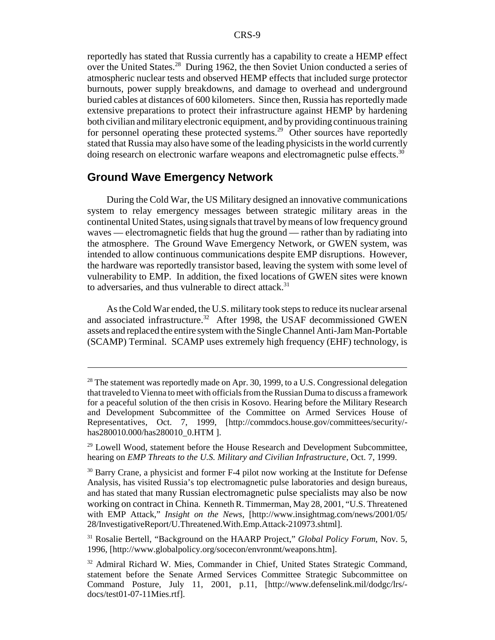reportedly has stated that Russia currently has a capability to create a HEMP effect over the United States.<sup>28</sup> During 1962, the then Soviet Union conducted a series of atmospheric nuclear tests and observed HEMP effects that included surge protector burnouts, power supply breakdowns, and damage to overhead and underground buried cables at distances of 600 kilometers. Since then, Russia has reportedly made extensive preparations to protect their infrastructure against HEMP by hardening both civilian and military electronic equipment, and by providing continuous training for personnel operating these protected systems.<sup>29</sup> Other sources have reportedly stated that Russia may also have some of the leading physicists in the world currently doing research on electronic warfare weapons and electromagnetic pulse effects.<sup>30</sup>

#### **Ground Wave Emergency Network**

During the Cold War, the US Military designed an innovative communications system to relay emergency messages between strategic military areas in the continental United States, using signals that travel by means of low frequency ground waves — electromagnetic fields that hug the ground — rather than by radiating into the atmosphere. The Ground Wave Emergency Network, or GWEN system, was intended to allow continuous communications despite EMP disruptions. However, the hardware was reportedly transistor based, leaving the system with some level of vulnerability to EMP. In addition, the fixed locations of GWEN sites were known to adversaries, and thus vulnerable to direct attack. $31$ 

As the Cold War ended, the U.S. military took steps to reduce its nuclear arsenal and associated infrastructure.<sup>32</sup> After 1998, the USAF decommissioned GWEN assets and replaced the entire system with the Single Channel Anti-Jam Man-Portable (SCAMP) Terminal. SCAMP uses extremely high frequency (EHF) technology, is

 $28$  The statement was reportedly made on Apr. 30, 1999, to a U.S. Congressional delegation that traveled to Vienna to meet with officials from the Russian Duma to discuss a framework for a peaceful solution of the then crisis in Kosovo. Hearing before the Military Research and Development Subcommittee of the Committee on Armed Services House of Representatives, Oct. 7, 1999, [http://commdocs.house.gov/committees/security/ has280010.000/has280010\_0.HTM ].

 $29$  Lowell Wood, statement before the House Research and Development Subcommittee, hearing on *EMP Threats to the U.S. Military and Civilian Infrastructure*, Oct. 7, 1999.

<sup>&</sup>lt;sup>30</sup> Barry Crane, a physicist and former F-4 pilot now working at the Institute for Defense Analysis, has visited Russia's top electromagnetic pulse laboratories and design bureaus, and has stated that many Russian electromagnetic pulse specialists may also be now working on contract in China. Kenneth R. Timmerman, May 28, 2001, "U.S. Threatened with EMP Attack," *Insight on the News*, [http://www.insightmag.com/news/2001/05/ 28/InvestigativeReport/U.Threatened.With.Emp.Attack-210973.shtml].

<sup>31</sup> Rosalie Bertell, "Background on the HAARP Project," *Global Policy Forum*, Nov. 5, 1996, [http://www.globalpolicy.org/socecon/envronmt/weapons.htm].

<sup>&</sup>lt;sup>32</sup> Admiral Richard W. Mies, Commander in Chief, United States Strategic Command, statement before the Senate Armed Services Committee Strategic Subcommittee on Command Posture, July 11, 2001, p.11, [http://www.defenselink.mil/dodgc/lrs/ docs/test01-07-11Mies.rtf].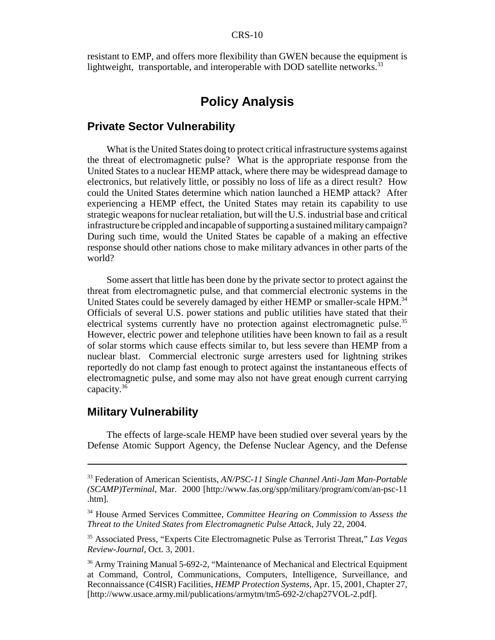resistant to EMP, and offers more flexibility than GWEN because the equipment is lightweight, transportable, and interoperable with DOD satellite networks.<sup>33</sup>

## **Policy Analysis**

#### **Private Sector Vulnerability**

What is the United States doing to protect critical infrastructure systems against the threat of electromagnetic pulse? What is the appropriate response from the United States to a nuclear HEMP attack, where there may be widespread damage to electronics, but relatively little, or possibly no loss of life as a direct result? How could the United States determine which nation launched a HEMP attack? After experiencing a HEMP effect, the United States may retain its capability to use strategic weapons for nuclear retaliation, but will the U.S. industrial base and critical infrastructure be crippled and incapable of supporting a sustained military campaign? During such time, would the United States be capable of a making an effective response should other nations chose to make military advances in other parts of the world?

Some assert that little has been done by the private sector to protect against the threat from electromagnetic pulse, and that commercial electronic systems in the United States could be severely damaged by either HEMP or smaller-scale HPM.<sup>34</sup> Officials of several U.S. power stations and public utilities have stated that their electrical systems currently have no protection against electromagnetic pulse.<sup>35</sup> However, electric power and telephone utilities have been known to fail as a result of solar storms which cause effects similar to, but less severe than HEMP from a nuclear blast. Commercial electronic surge arresters used for lightning strikes reportedly do not clamp fast enough to protect against the instantaneous effects of electromagnetic pulse, and some may also not have great enough current carrying capacity.36

#### **Military Vulnerability**

The effects of large-scale HEMP have been studied over several years by the Defense Atomic Support Agency, the Defense Nuclear Agency, and the Defense

<sup>33</sup> Federation of American Scientists, *AN/PSC-11 Single Channel Anti-Jam Man-Portable (SCAMP)Terminal*, Mar. 2000 [http://www.fas.org/spp/military/program/com/an-psc-11 .htm].

<sup>34</sup> House Armed Services Committee, *Committee Hearing on Commission to Assess the Threat to the United States from Electromagnetic Pulse Attack*, July 22, 2004.

<sup>35</sup> Associated Press, "Experts Cite Electromagnetic Pulse as Terrorist Threat," *Las Vegas Review-Journal*, Oct. 3, 2001.

<sup>&</sup>lt;sup>36</sup> Army Training Manual 5-692-2, "Maintenance of Mechanical and Electrical Equipment at Command, Control, Communications, Computers, Intelligence, Surveillance, and Reconnaissance (C4ISR) Facilities, *HEMP Protection Systems*, Apr. 15, 2001, Chapter 27, [http://www.usace.army.mil/publications/armytm/tm5-692-2/chap27VOL-2.pdf].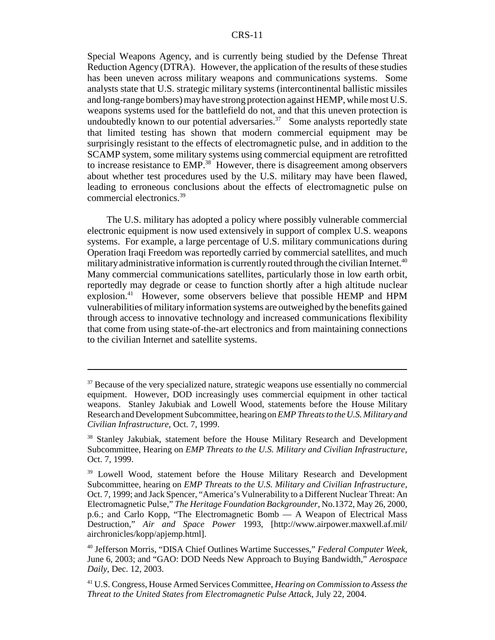Special Weapons Agency, and is currently being studied by the Defense Threat Reduction Agency (DTRA). However, the application of the results of these studies has been uneven across military weapons and communications systems. Some analysts state that U.S. strategic military systems (intercontinental ballistic missiles and long-range bombers) may have strong protection against HEMP, while most U.S. weapons systems used for the battlefield do not, and that this uneven protection is undoubtedly known to our potential adversaries. $37$  Some analysts reportedly state that limited testing has shown that modern commercial equipment may be surprisingly resistant to the effects of electromagnetic pulse, and in addition to the SCAMP system, some military systems using commercial equipment are retrofitted to increase resistance to EMP.<sup>38</sup> However, there is disagreement among observers about whether test procedures used by the U.S. military may have been flawed, leading to erroneous conclusions about the effects of electromagnetic pulse on commercial electronics.39

The U.S. military has adopted a policy where possibly vulnerable commercial electronic equipment is now used extensively in support of complex U.S. weapons systems. For example, a large percentage of U.S. military communications during Operation Iraqi Freedom was reportedly carried by commercial satellites, and much military administrative information is currently routed through the civilian Internet.<sup>40</sup> Many commercial communications satellites, particularly those in low earth orbit, reportedly may degrade or cease to function shortly after a high altitude nuclear explosion.<sup>41</sup> However, some observers believe that possible HEMP and HPM vulnerabilities of military information systems are outweighed by the benefits gained through access to innovative technology and increased communications flexibility that come from using state-of-the-art electronics and from maintaining connections to the civilian Internet and satellite systems.

<sup>&</sup>lt;sup>37</sup> Because of the very specialized nature, strategic weapons use essentially no commercial equipment. However, DOD increasingly uses commercial equipment in other tactical weapons. Stanley Jakubiak and Lowell Wood, statements before the House Military Research and Development Subcommittee, hearing on *EMP Threats to the U.S. Military and Civilian Infrastructure*, Oct. 7, 1999.

<sup>&</sup>lt;sup>38</sup> Stanley Jakubiak, statement before the House Military Research and Development Subcommittee, Hearing on *EMP Threats to the U.S. Military and Civilian Infrastructure*, Oct. 7, 1999.

<sup>&</sup>lt;sup>39</sup> Lowell Wood, statement before the House Military Research and Development Subcommittee, hearing on *EMP Threats to the U.S. Military and Civilian Infrastructure*, Oct. 7, 1999; and Jack Spencer, "America's Vulnerability to a Different Nuclear Threat: An Electromagnetic Pulse," *The Heritage Foundation Backgrounder*, No.1372, May 26, 2000, p.6.; and Carlo Kopp, "The Electromagnetic Bomb — A Weapon of Electrical Mass Destruction," *Air and Space Power* 1993, [http://www.airpower.maxwell.af.mil/ airchronicles/kopp/apjemp.html].

<sup>40</sup> Jefferson Morris, "DISA Chief Outlines Wartime Successes," *Federal Computer Week*, June 6, 2003; and "GAO: DOD Needs New Approach to Buying Bandwidth," *Aerospace Daily*, Dec. 12, 2003.

<sup>41</sup> U.S. Congress, House Armed Services Committee, *Hearing on Commission to Assess the Threat to the United States from Electromagnetic Pulse Attack*, July 22, 2004.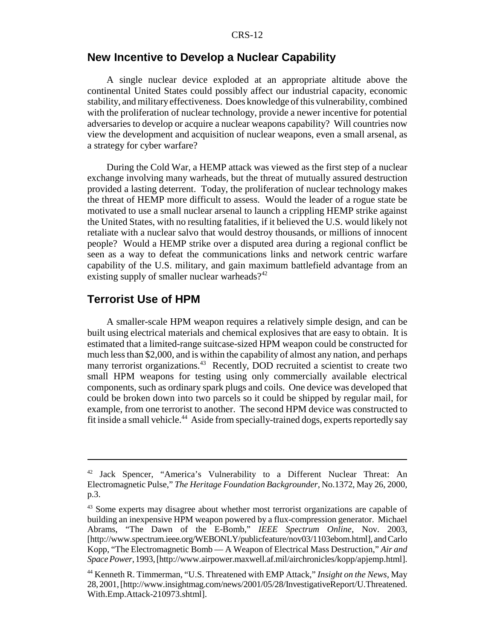#### **New Incentive to Develop a Nuclear Capability**

A single nuclear device exploded at an appropriate altitude above the continental United States could possibly affect our industrial capacity, economic stability, and military effectiveness. Does knowledge of this vulnerability, combined with the proliferation of nuclear technology, provide a newer incentive for potential adversaries to develop or acquire a nuclear weapons capability? Will countries now view the development and acquisition of nuclear weapons, even a small arsenal, as a strategy for cyber warfare?

During the Cold War, a HEMP attack was viewed as the first step of a nuclear exchange involving many warheads, but the threat of mutually assured destruction provided a lasting deterrent. Today, the proliferation of nuclear technology makes the threat of HEMP more difficult to assess. Would the leader of a rogue state be motivated to use a small nuclear arsenal to launch a crippling HEMP strike against the United States, with no resulting fatalities, if it believed the U.S. would likely not retaliate with a nuclear salvo that would destroy thousands, or millions of innocent people? Would a HEMP strike over a disputed area during a regional conflict be seen as a way to defeat the communications links and network centric warfare capability of the U.S. military, and gain maximum battlefield advantage from an existing supply of smaller nuclear warheads? $42$ 

#### **Terrorist Use of HPM**

A smaller-scale HPM weapon requires a relatively simple design, and can be built using electrical materials and chemical explosives that are easy to obtain. It is estimated that a limited-range suitcase-sized HPM weapon could be constructed for much less than \$2,000, and is within the capability of almost any nation, and perhaps many terrorist organizations.<sup>43</sup> Recently, DOD recruited a scientist to create two small HPM weapons for testing using only commercially available electrical components, such as ordinary spark plugs and coils. One device was developed that could be broken down into two parcels so it could be shipped by regular mail, for example, from one terrorist to another. The second HPM device was constructed to fit inside a small vehicle.<sup>44</sup> Aside from specially-trained dogs, experts reportedly say

<sup>42</sup> Jack Spencer, "America's Vulnerability to a Different Nuclear Threat: An Electromagnetic Pulse," *The Heritage Foundation Backgrounder*, No.1372, May 26, 2000, p.3.

<sup>&</sup>lt;sup>43</sup> Some experts may disagree about whether most terrorist organizations are capable of building an inexpensive HPM weapon powered by a flux-compression generator. Michael Abrams, "The Dawn of the E-Bomb," *IEEE Spectrum Online*, Nov. 2003, [http://www.spectrum.ieee.org/WEBONLY/publicfeature/nov03/1103ebom.html], and Carlo Kopp, "The Electromagnetic Bomb — A Weapon of Electrical Mass Destruction," *Air and Space Power*, 1993, [http://www.airpower.maxwell.af.mil/airchronicles/kopp/apjemp.html].

<sup>44</sup> Kenneth R. Timmerman, "U.S. Threatened with EMP Attack," *Insight on the News*, May 28, 2001, [http://www.insightmag.com/news/2001/05/28/InvestigativeReport/U.Threatened. With.Emp.Attack-210973.shtml].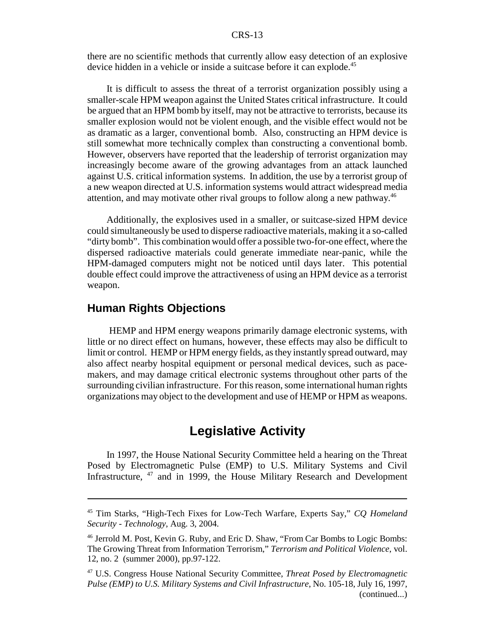there are no scientific methods that currently allow easy detection of an explosive device hidden in a vehicle or inside a suitcase before it can explode.<sup>45</sup>

It is difficult to assess the threat of a terrorist organization possibly using a smaller-scale HPM weapon against the United States critical infrastructure. It could be argued that an HPM bomb by itself, may not be attractive to terrorists, because its smaller explosion would not be violent enough, and the visible effect would not be as dramatic as a larger, conventional bomb. Also, constructing an HPM device is still somewhat more technically complex than constructing a conventional bomb. However, observers have reported that the leadership of terrorist organization may increasingly become aware of the growing advantages from an attack launched against U.S. critical information systems. In addition, the use by a terrorist group of a new weapon directed at U.S. information systems would attract widespread media attention, and may motivate other rival groups to follow along a new pathway.<sup>46</sup>

Additionally, the explosives used in a smaller, or suitcase-sized HPM device could simultaneously be used to disperse radioactive materials, making it a so-called "dirty bomb". This combination would offer a possible two-for-one effect, where the dispersed radioactive materials could generate immediate near-panic, while the HPM-damaged computers might not be noticed until days later. This potential double effect could improve the attractiveness of using an HPM device as a terrorist weapon.

### **Human Rights Objections**

 HEMP and HPM energy weapons primarily damage electronic systems, with little or no direct effect on humans, however, these effects may also be difficult to limit or control. HEMP or HPM energy fields, as they instantly spread outward, may also affect nearby hospital equipment or personal medical devices, such as pacemakers, and may damage critical electronic systems throughout other parts of the surrounding civilian infrastructure. For this reason, some international human rights organizations may object to the development and use of HEMP or HPM as weapons.

### **Legislative Activity**

In 1997, the House National Security Committee held a hearing on the Threat Posed by Electromagnetic Pulse (EMP) to U.S. Military Systems and Civil Infrastructure, <sup>47</sup> and in 1999, the House Military Research and Development

<sup>45</sup> Tim Starks, "High-Tech Fixes for Low-Tech Warfare, Experts Say," *CQ Homeland Security - Technology*, Aug. 3, 2004.

<sup>46</sup> Jerrold M. Post, Kevin G. Ruby, and Eric D. Shaw, "From Car Bombs to Logic Bombs: The Growing Threat from Information Terrorism," *Terrorism and Political Violence*, vol. 12, no. 2 (summer 2000), pp.97-122.

<sup>47</sup> U.S. Congress House National Security Committee, *Threat Posed by Electromagnetic Pulse (EMP) to U.S. Military Systems and Civil Infrastructure*, No. 105-18, July 16, 1997, (continued...)